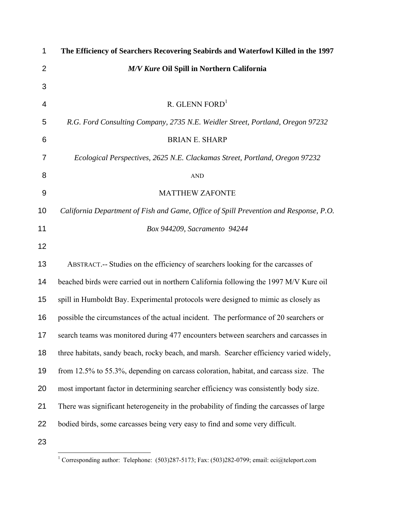| 1                | The Efficiency of Searchers Recovering Seabirds and Waterfowl Killed in the 1997         |
|------------------|------------------------------------------------------------------------------------------|
| $\overline{2}$   | M/V Kure Oil Spill in Northern California                                                |
| 3                |                                                                                          |
| 4                | R. GLENN FORD <sup>1</sup>                                                               |
| 5                | R.G. Ford Consulting Company, 2735 N.E. Weidler Street, Portland, Oregon 97232           |
| 6                | <b>BRIAN E. SHARP</b>                                                                    |
| $\overline{7}$   | Ecological Perspectives, 2625 N.E. Clackamas Street, Portland, Oregon 97232              |
| 8                | <b>AND</b>                                                                               |
| $\boldsymbol{9}$ | <b>MATTHEW ZAFONTE</b>                                                                   |
| 10               | California Department of Fish and Game, Office of Spill Prevention and Response, P.O.    |
| 11               | Box 944209, Sacramento 94244                                                             |
| 12               |                                                                                          |
| 13               | ABSTRACT.-- Studies on the efficiency of searchers looking for the carcasses of          |
| 14               | beached birds were carried out in northern California following the 1997 M/V Kure oil    |
| 15               | spill in Humboldt Bay. Experimental protocols were designed to mimic as closely as       |
| 16               | possible the circumstances of the actual incident. The performance of 20 searchers or    |
| 17 <sub>2</sub>  | search teams was monitored during 477 encounters between searchers and carcasses in      |
| 18               | three habitats, sandy beach, rocky beach, and marsh. Searcher efficiency varied widely,  |
| 19               | from 12.5% to 55.3%, depending on carcass coloration, habitat, and carcass size. The     |
| 20               | most important factor in determining searcher efficiency was consistently body size.     |
| 21               | There was significant heterogeneity in the probability of finding the carcasses of large |
| 22               | bodied birds, some carcasses being very easy to find and some very difficult.            |
| 23               |                                                                                          |

 1 Corresponding author: Telephone: (503)287-5173; Fax: (503)282-0799; email: eci@teleport.com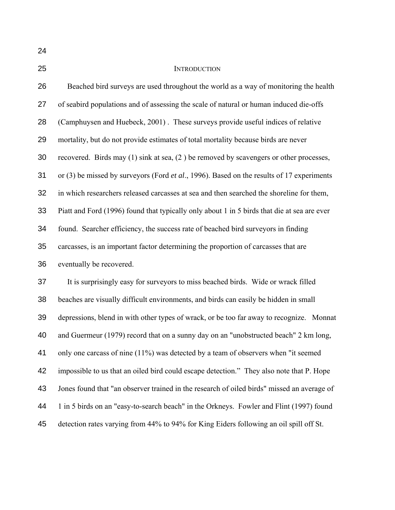## INTRODUCTION

| 26 | Beached bird surveys are used throughout the world as a way of monitoring the health        |
|----|---------------------------------------------------------------------------------------------|
| 27 | of seabird populations and of assessing the scale of natural or human induced die-offs      |
| 28 | (Camphuysen and Huebeck, 2001). These surveys provide useful indices of relative            |
| 29 | mortality, but do not provide estimates of total mortality because birds are never          |
| 30 | recovered. Birds may $(1)$ sink at sea, $(2)$ be removed by scavengers or other processes,  |
| 31 | or (3) be missed by surveyors (Ford et al., 1996). Based on the results of 17 experiments   |
| 32 | in which researchers released carcasses at sea and then searched the shoreline for them,    |
| 33 | Piatt and Ford (1996) found that typically only about 1 in 5 birds that die at sea are ever |
| 34 | found. Searcher efficiency, the success rate of beached bird surveyors in finding           |
| 35 | carcasses, is an important factor determining the proportion of carcasses that are          |
| 36 | eventually be recovered.                                                                    |
| 37 | It is surprisingly easy for surveyors to miss beached birds. Wide or wrack filled           |
| 38 | beaches are visually difficult environments, and birds can easily be hidden in small        |
| 39 | depressions, blend in with other types of wrack, or be too far away to recognize. Monnat    |
| 40 | and Guermeur (1979) record that on a sunny day on an "unobstructed beach" 2 km long,        |
| 41 | only one carcass of nine (11%) was detected by a team of observers when "it seemed          |
| 42 | impossible to us that an oiled bird could escape detection." They also note that P. Hope    |
| 43 | Jones found that "an observer trained in the research of oiled birds" missed an average of  |
| 44 | 1 in 5 birds on an "easy-to-search beach" in the Orkneys. Fowler and Flint (1997) found     |
| 45 | detection rates varying from 44% to 94% for King Eiders following an oil spill off St.      |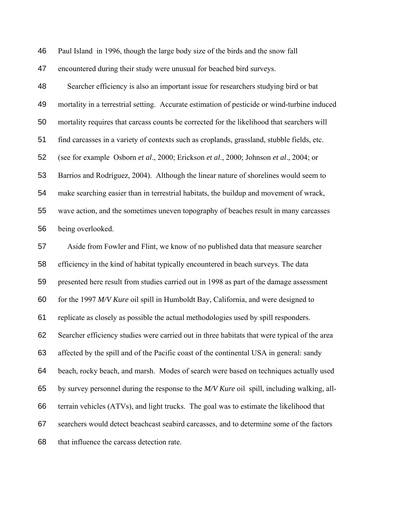Paul Island in 1996, though the large body size of the birds and the snow fall

encountered during their study were unusual for beached bird surveys.

Searcher efficiency is also an important issue for researchers studying bird or bat mortality in a terrestrial setting. Accurate estimation of pesticide or wind-turbine induced mortality requires that carcass counts be corrected for the likelihood that searchers will find carcasses in a variety of contexts such as croplands, grassland, stubble fields, etc. (see for example Osborn *et al*., 2000; Erickson *et al*., 2000; Johnson *et al*., 2004; or Barrios and Rodríguez, 2004). Although the linear nature of shorelines would seem to make searching easier than in terrestrial habitats, the buildup and movement of wrack, wave action, and the sometimes uneven topography of beaches result in many carcasses being overlooked.

Aside from Fowler and Flint, we know of no published data that measure searcher efficiency in the kind of habitat typically encountered in beach surveys. The data presented here result from studies carried out in 1998 as part of the damage assessment for the 1997 *M/V Kure* oil spill in Humboldt Bay, California, and were designed to replicate as closely as possible the actual methodologies used by spill responders. Searcher efficiency studies were carried out in three habitats that were typical of the area affected by the spill and of the Pacific coast of the continental USA in general: sandy beach, rocky beach, and marsh. Modes of search were based on techniques actually used by survey personnel during the response to the *M/V Kure* oil spill, including walking, all-terrain vehicles (ATVs), and light trucks. The goal was to estimate the likelihood that searchers would detect beachcast seabird carcasses, and to determine some of the factors that influence the carcass detection rate.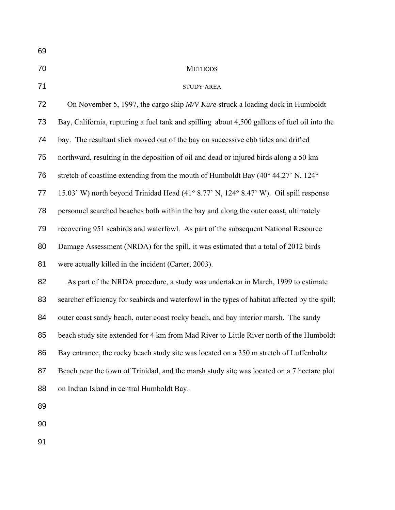| 69 |                                                                                               |
|----|-----------------------------------------------------------------------------------------------|
| 70 | <b>METHODS</b>                                                                                |
| 71 | <b>STUDY AREA</b>                                                                             |
| 72 | On November 5, 1997, the cargo ship M/V Kure struck a loading dock in Humboldt                |
| 73 | Bay, California, rupturing a fuel tank and spilling about 4,500 gallons of fuel oil into the  |
| 74 | bay. The resultant slick moved out of the bay on successive ebb tides and drifted             |
| 75 | northward, resulting in the deposition of oil and dead or injured birds along a 50 km         |
| 76 | stretch of coastline extending from the mouth of Humboldt Bay (40° 44.27' N, 124°             |
| 77 | 15.03' W) north beyond Trinidad Head (41° 8.77' N, 124° 8.47' W). Oil spill response          |
| 78 | personnel searched beaches both within the bay and along the outer coast, ultimately          |
| 79 | recovering 951 seabirds and waterfowl. As part of the subsequent National Resource            |
| 80 | Damage Assessment (NRDA) for the spill, it was estimated that a total of 2012 birds           |
| 81 | were actually killed in the incident (Carter, 2003).                                          |
| 82 | As part of the NRDA procedure, a study was undertaken in March, 1999 to estimate              |
| 83 | searcher efficiency for seabirds and waterfowl in the types of habitat affected by the spill: |
| 84 | outer coast sandy beach, outer coast rocky beach, and bay interior marsh. The sandy           |
| 85 | beach study site extended for 4 km from Mad River to Little River north of the Humboldt       |
| 86 | Bay entrance, the rocky beach study site was located on a 350 m stretch of Luffenholtz        |
| 87 | Beach near the town of Trinidad, and the marsh study site was located on a 7 hectare plot     |
| 88 | on Indian Island in central Humboldt Bay.                                                     |
| 89 |                                                                                               |
| 90 |                                                                                               |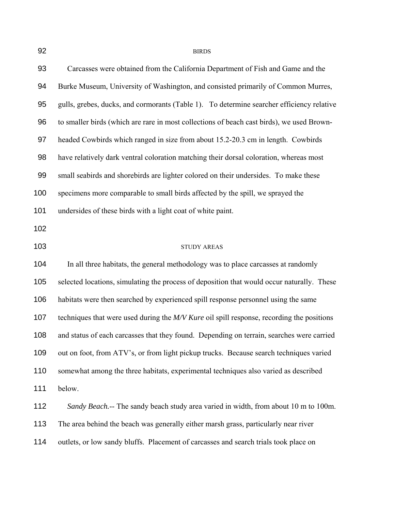| 92  | <b>BIRDS</b>                                                                               |  |  |  |  |
|-----|--------------------------------------------------------------------------------------------|--|--|--|--|
| 93  | Carcasses were obtained from the California Department of Fish and Game and the            |  |  |  |  |
| 94  | Burke Museum, University of Washington, and consisted primarily of Common Murres,          |  |  |  |  |
| 95  | gulls, grebes, ducks, and cormorants (Table 1). To determine searcher efficiency relative  |  |  |  |  |
| 96  | to smaller birds (which are rare in most collections of beach cast birds), we used Brown-  |  |  |  |  |
| 97  | headed Cowbirds which ranged in size from about 15.2-20.3 cm in length. Cowbirds           |  |  |  |  |
| 98  | have relatively dark ventral coloration matching their dorsal coloration, whereas most     |  |  |  |  |
| 99  | small seabirds and shorebirds are lighter colored on their undersides. To make these       |  |  |  |  |
| 100 | specimens more comparable to small birds affected by the spill, we sprayed the             |  |  |  |  |
| 101 | undersides of these birds with a light coat of white paint.                                |  |  |  |  |
| 102 |                                                                                            |  |  |  |  |
| 103 | <b>STUDY AREAS</b>                                                                         |  |  |  |  |
| 104 | In all three habitats, the general methodology was to place carcasses at randomly          |  |  |  |  |
| 105 | selected locations, simulating the process of deposition that would occur naturally. These |  |  |  |  |
| 106 | habitats were then searched by experienced spill response personnel using the same         |  |  |  |  |
| 107 | techniques that were used during the M/V Kure oil spill response, recording the positions  |  |  |  |  |
| 108 | and status of each carcasses that they found. Depending on terrain, searches were carried  |  |  |  |  |
| 109 | out on foot, from ATV's, or from light pickup trucks. Because search techniques varied     |  |  |  |  |
| 110 | somewhat among the three habitats, experimental techniques also varied as described        |  |  |  |  |
| 111 | below.                                                                                     |  |  |  |  |
| 112 | Sandy Beach.-- The sandy beach study area varied in width, from about 10 m to 100m.        |  |  |  |  |
| 113 | The area behind the beach was generally either marsh grass, particularly near river        |  |  |  |  |
| 114 | outlets, or low sandy bluffs. Placement of carcasses and search trials took place on       |  |  |  |  |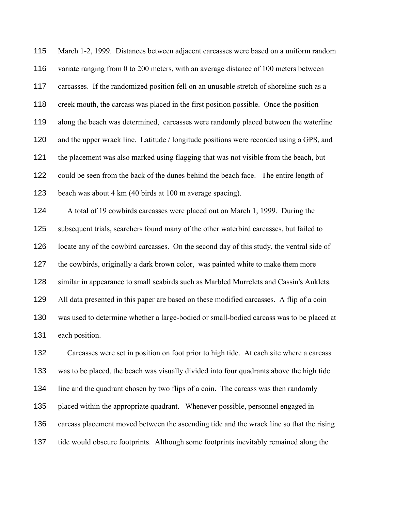March 1-2, 1999. Distances between adjacent carcasses were based on a uniform random variate ranging from 0 to 200 meters, with an average distance of 100 meters between 117 carcasses. If the randomized position fell on an unusable stretch of shoreline such as a 118 creek mouth, the carcass was placed in the first position possible. Once the position along the beach was determined, carcasses were randomly placed between the waterline and the upper wrack line. Latitude / longitude positions were recorded using a GPS, and the placement was also marked using flagging that was not visible from the beach, but could be seen from the back of the dunes behind the beach face. The entire length of beach was about 4 km (40 birds at 100 m average spacing).

A total of 19 cowbirds carcasses were placed out on March 1, 1999. During the subsequent trials, searchers found many of the other waterbird carcasses, but failed to locate any of the cowbird carcasses. On the second day of this study, the ventral side of the cowbirds, originally a dark brown color, was painted white to make them more 128 similar in appearance to small seabirds such as Marbled Murrelets and Cassin's Auklets. All data presented in this paper are based on these modified carcasses. A flip of a coin was used to determine whether a large-bodied or small-bodied carcass was to be placed at each position.

Carcasses were set in position on foot prior to high tide. At each site where a carcass was to be placed, the beach was visually divided into four quadrants above the high tide line and the quadrant chosen by two flips of a coin. The carcass was then randomly placed within the appropriate quadrant. Whenever possible, personnel engaged in carcass placement moved between the ascending tide and the wrack line so that the rising tide would obscure footprints. Although some footprints inevitably remained along the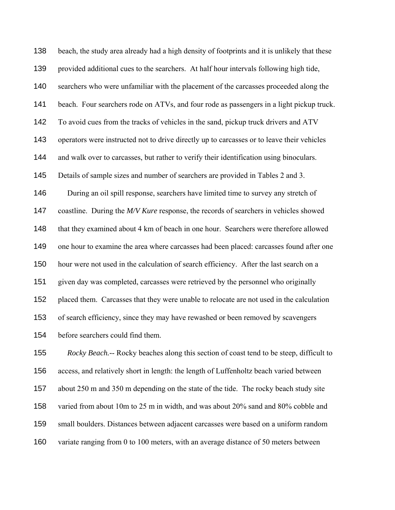beach, the study area already had a high density of footprints and it is unlikely that these provided additional cues to the searchers. At half hour intervals following high tide, searchers who were unfamiliar with the placement of the carcasses proceeded along the beach. Four searchers rode on ATVs, and four rode as passengers in a light pickup truck. To avoid cues from the tracks of vehicles in the sand, pickup truck drivers and ATV operators were instructed not to drive directly up to carcasses or to leave their vehicles and walk over to carcasses, but rather to verify their identification using binoculars. Details of sample sizes and number of searchers are provided in Tables 2 and 3. During an oil spill response, searchers have limited time to survey any stretch of coastline. During the *M/V Kure* response, the records of searchers in vehicles showed that they examined about 4 km of beach in one hour. Searchers were therefore allowed one hour to examine the area where carcasses had been placed: carcasses found after one hour were not used in the calculation of search efficiency. After the last search on a given day was completed, carcasses were retrieved by the personnel who originally placed them. Carcasses that they were unable to relocate are not used in the calculation of search efficiency, since they may have rewashed or been removed by scavengers before searchers could find them.

*Rocky Beach.-*- Rocky beaches along this section of coast tend to be steep, difficult to access, and relatively short in length: the length of Luffenholtz beach varied between about 250 m and 350 m depending on the state of the tide. The rocky beach study site varied from about 10m to 25 m in width, and was about 20% sand and 80% cobble and small boulders. Distances between adjacent carcasses were based on a uniform random variate ranging from 0 to 100 meters, with an average distance of 50 meters between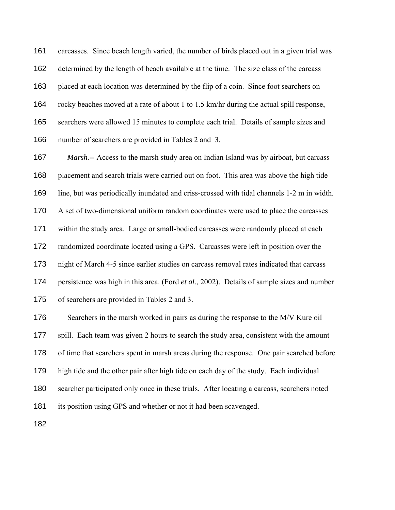carcasses. Since beach length varied, the number of birds placed out in a given trial was determined by the length of beach available at the time. The size class of the carcass placed at each location was determined by the flip of a coin. Since foot searchers on rocky beaches moved at a rate of about 1 to 1.5 km/hr during the actual spill response, searchers were allowed 15 minutes to complete each trial. Details of sample sizes and number of searchers are provided in Tables 2 and 3.

*Marsh.--* Access to the marsh study area on Indian Island was by airboat, but carcass placement and search trials were carried out on foot. This area was above the high tide line, but was periodically inundated and criss-crossed with tidal channels 1-2 m in width. A set of two-dimensional uniform random coordinates were used to place the carcasses within the study area. Large or small-bodied carcasses were randomly placed at each randomized coordinate located using a GPS. Carcasses were left in position over the night of March 4-5 since earlier studies on carcass removal rates indicated that carcass persistence was high in this area. (Ford *et al*., 2002). Details of sample sizes and number of searchers are provided in Tables 2 and 3. Searchers in the marsh worked in pairs as during the response to the M/V Kure oil spill. Each team was given 2 hours to search the study area, consistent with the amount

of time that searchers spent in marsh areas during the response. One pair searched before

high tide and the other pair after high tide on each day of the study. Each individual

searcher participated only once in these trials. After locating a carcass, searchers noted

its position using GPS and whether or not it had been scavenged.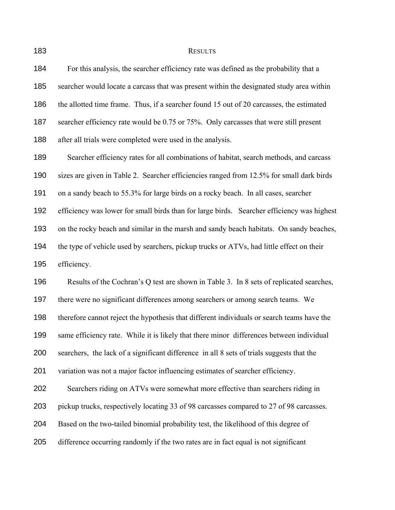183 RESULTS

For this analysis, the searcher efficiency rate was defined as the probability that a searcher would locate a carcass that was present within the designated study area within the allotted time frame. Thus, if a searcher found 15 out of 20 carcasses, the estimated searcher efficiency rate would be 0.75 or 75%. Only carcasses that were still present after all trials were completed were used in the analysis. Searcher efficiency rates for all combinations of habitat, search methods, and carcass sizes are given in Table 2. Searcher efficiencies ranged from 12.5% for small dark birds on a sandy beach to 55.3% for large birds on a rocky beach. In all cases, searcher efficiency was lower for small birds than for large birds. Searcher efficiency was highest on the rocky beach and similar in the marsh and sandy beach habitats. On sandy beaches, the type of vehicle used by searchers, pickup trucks or ATVs, had little effect on their efficiency. Results of the Cochran's Q test are shown in Table 3. In 8 sets of replicated searches, there were no significant differences among searchers or among search teams. We therefore cannot reject the hypothesis that different individuals or search teams have the same efficiency rate. While it is likely that there minor differences between individual searchers, the lack of a significant difference in all 8 sets of trials suggests that the variation was not a major factor influencing estimates of searcher efficiency. Searchers riding on ATVs were somewhat more effective than searchers riding in

pickup trucks, respectively locating 33 of 98 carcasses compared to 27 of 98 carcasses.

Based on the two-tailed binomial probability test, the likelihood of this degree of

difference occurring randomly if the two rates are in fact equal is not significant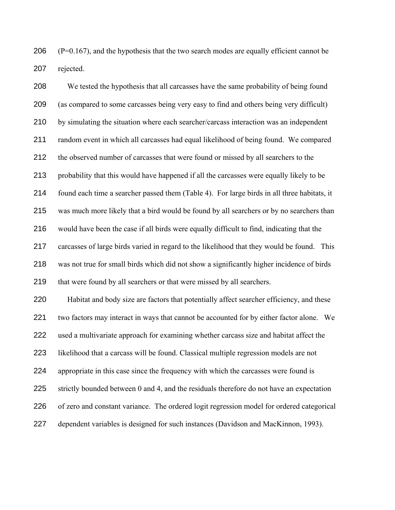206  $(P=0.167)$ , and the hypothesis that the two search modes are equally efficient cannot be rejected.

We tested the hypothesis that all carcasses have the same probability of being found (as compared to some carcasses being very easy to find and others being very difficult) by simulating the situation where each searcher/carcass interaction was an independent random event in which all carcasses had equal likelihood of being found. We compared the observed number of carcasses that were found or missed by all searchers to the probability that this would have happened if all the carcasses were equally likely to be found each time a searcher passed them (Table 4). For large birds in all three habitats, it was much more likely that a bird would be found by all searchers or by no searchers than would have been the case if all birds were equally difficult to find, indicating that the carcasses of large birds varied in regard to the likelihood that they would be found. This was not true for small birds which did not show a significantly higher incidence of birds 219 that were found by all searchers or that were missed by all searchers. Habitat and body size are factors that potentially affect searcher efficiency, and these two factors may interact in ways that cannot be accounted for by either factor alone. We used a multivariate approach for examining whether carcass size and habitat affect the likelihood that a carcass will be found. Classical multiple regression models are not appropriate in this case since the frequency with which the carcasses were found is

strictly bounded between 0 and 4, and the residuals therefore do not have an expectation

- of zero and constant variance.The ordered logit regression model for ordered categorical
- dependent variables is designed for such instances (Davidson and MacKinnon, 1993).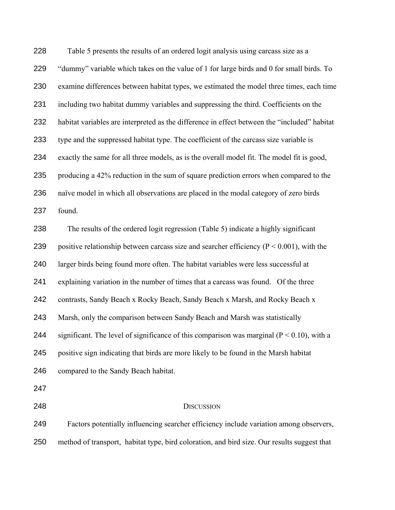Table 5 presents the results of an ordered logit analysis using carcass size as a 229 "dummy" variable which takes on the value of 1 for large birds and 0 for small birds. To examine differences between habitat types, we estimated the model three times, each time including two habitat dummy variables and suppressing the third. Coefficients on the habitat variables are interpreted as the difference in effect between the "included" habitat type and the suppressed habitat type. The coefficient of the carcass size variable is exactly the same for all three models, as is the overall model fit. The model fit is good, producing a 42% reduction in the sum of square prediction errors when compared to the naïve model in which all observations are placed in the modal category of zero birds found. The results of the ordered logit regression (Table 5) indicate a highly significant 239 positive relationship between carcass size and searcher efficiency ( $P < 0.001$ ), with the larger birds being found more often. The habitat variables were less successful at explaining variation in the number of times that a carcass was found. Of the three contrasts, Sandy Beach x Rocky Beach, Sandy Beach x Marsh, and Rocky Beach x Marsh, only the comparison between Sandy Beach and Marsh was statistically 244 significant. The level of significance of this comparison was marginal  $(P < 0.10)$ , with a positive sign indicating that birds are more likely to be found in the Marsh habitat compared to the Sandy Beach habitat. DISCUSSION Factors potentially influencing searcher efficiency include variation among observers,

method of transport, habitat type, bird coloration, and bird size. Our results suggest that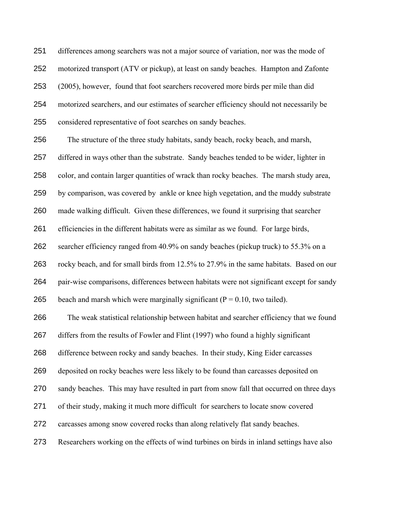differences among searchers was not a major source of variation, nor was the mode of motorized transport (ATV or pickup), at least on sandy beaches. Hampton and Zafonte (2005), however, found that foot searchers recovered more birds per mile than did motorized searchers, and our estimates of searcher efficiency should not necessarily be considered representative of foot searches on sandy beaches.

The structure of the three study habitats, sandy beach, rocky beach, and marsh,

differed in ways other than the substrate. Sandy beaches tended to be wider, lighter in

color, and contain larger quantities of wrack than rocky beaches. The marsh study area,

by comparison, was covered by ankle or knee high vegetation, and the muddy substrate

made walking difficult. Given these differences, we found it surprising that searcher

efficiencies in the different habitats were as similar as we found. For large birds,

searcher efficiency ranged from 40.9% on sandy beaches (pickup truck) to 55.3% on a

rocky beach, and for small birds from 12.5% to 27.9% in the same habitats. Based on our

pair-wise comparisons, differences between habitats were not significant except for sandy

265 beach and marsh which were marginally significant  $(P = 0.10$ , two tailed).

The weak statistical relationship between habitat and searcher efficiency that we found

differs from the results of Fowler and Flint (1997) who found a highly significant

difference between rocky and sandy beaches. In their study, King Eider carcasses

deposited on rocky beaches were less likely to be found than carcasses deposited on

sandy beaches. This may have resulted in part from snow fall that occurred on three days

of their study, making it much more difficult for searchers to locate snow covered

carcasses among snow covered rocks than along relatively flat sandy beaches.

Researchers working on the effects of wind turbines on birds in inland settings have also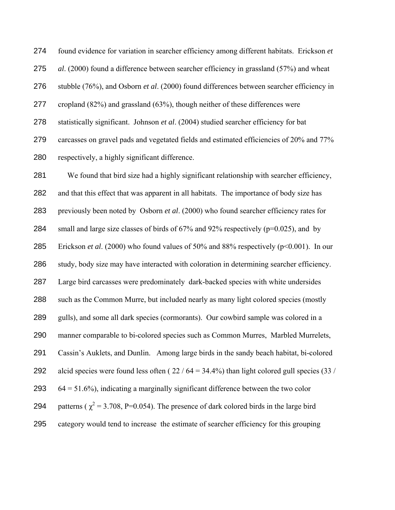found evidence for variation in searcher efficiency among different habitats. Erickson *et al*. (2000) found a difference between searcher efficiency in grassland (57%) and wheat stubble (76%), and Osborn *et al*. (2000) found differences between searcher efficiency in cropland (82%) and grassland (63%), though neither of these differences were statistically significant. Johnson *et al*. (2004) studied searcher efficiency for bat carcasses on gravel pads and vegetated fields and estimated efficiencies of 20% and 77% respectively, a highly significant difference.

We found that bird size had a highly significant relationship with searcher efficiency, and that this effect that was apparent in all habitats. The importance of body size has previously been noted by Osborn *et al*. (2000) who found searcher efficiency rates for 284 small and large size classes of birds of  $67\%$  and  $92\%$  respectively ( $p=0.025$ ), and by Erickson *et al*. (2000) who found values of 50% and 88% respectively (p<0.001). In our study, body size may have interacted with coloration in determining searcher efficiency. Large bird carcasses were predominately dark-backed species with white undersides such as the Common Murre, but included nearly as many light colored species (mostly gulls), and some all dark species (cormorants). Our cowbird sample was colored in a manner comparable to bi-colored species such as Common Murres, Marbled Murrelets, Cassin's Auklets, and Dunlin. Among large birds in the sandy beach habitat, bi-colored 292 alcid species were found less often  $(22 / 64 = 34.4\%)$  than light colored gull species  $(33 / 64)$  $64 = 51.6\%$ , indicating a marginally significant difference between the two color 294 patterns ( $\chi^2$  = 3.708, P=0.054). The presence of dark colored birds in the large bird category would tend to increase the estimate of searcher efficiency for this grouping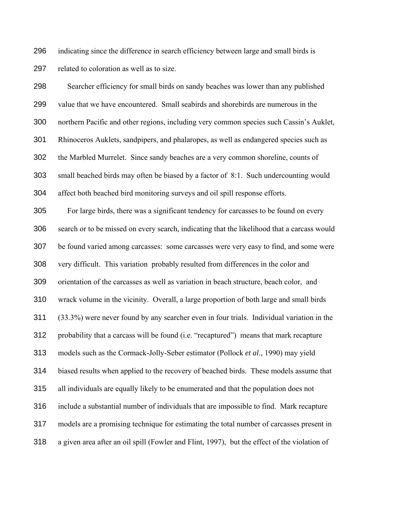indicating since the difference in search efficiency between large and small birds is related to coloration as well as to size.

Searcher efficiency for small birds on sandy beaches was lower than any published value that we have encountered. Small seabirds and shorebirds are numerous in the northern Pacific and other regions, including very common species such Cassin's Auklet, Rhinoceros Auklets, sandpipers, and phalaropes, as well as endangered species such as the Marbled Murrelet. Since sandy beaches are a very common shoreline, counts of small beached birds may often be biased by a factor of 8:1. Such undercounting would affect both beached bird monitoring surveys and oil spill response efforts. For large birds, there was a significant tendency for carcasses to be found on every search or to be missed on every search, indicating that the likelihood that a carcass would be found varied among carcasses: some carcasses were very easy to find, and some were very difficult. This variation probably resulted from differences in the color and orientation of the carcasses as well as variation in beach structure, beach color, and wrack volume in the vicinity. Overall, a large proportion of both large and small birds (33.3%) were never found by any searcher even in four trials. Individual variation in the probability that a carcass will be found (i.e. "recaptured") means that mark recapture models such as the Cormack-Jolly-Seber estimator (Pollock *et al*., 1990) may yield biased results when applied to the recovery of beached birds. These models assume that all individuals are equally likely to be enumerated and that the population does not include a substantial number of individuals that are impossible to find. Mark recapture models are a promising technique for estimating the total number of carcasses present in a given area after an oil spill (Fowler and Flint, 1997), but the effect of the violation of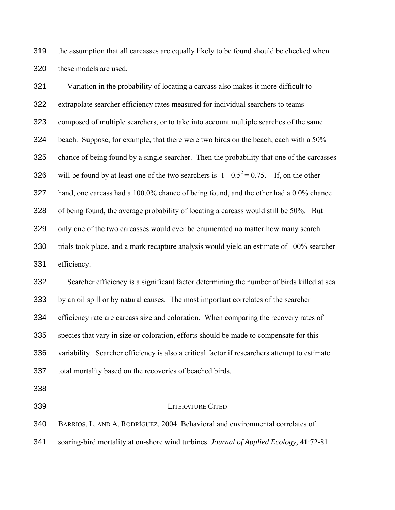the assumption that all carcasses are equally likely to be found should be checked when these models are used.

Variation in the probability of locating a carcass also makes it more difficult to extrapolate searcher efficiency rates measured for individual searchers to teams composed of multiple searchers, or to take into account multiple searches of the same beach. Suppose, for example, that there were two birds on the beach, each with a 50% chance of being found by a single searcher. Then the probability that one of the carcasses 326 will be found by at least one of the two searchers is  $1 - 0.5^2 = 0.75$ . If, on the other hand, one carcass had a 100.0% chance of being found, and the other had a 0.0% chance of being found, the average probability of locating a carcass would still be 50%. But only one of the two carcasses would ever be enumerated no matter how many search trials took place, and a mark recapture analysis would yield an estimate of 100% searcher efficiency.

Searcher efficiency is a significant factor determining the number of birds killed at sea by an oil spill or by natural causes. The most important correlates of the searcher efficiency rate are carcass size and coloration. When comparing the recovery rates of species that vary in size or coloration, efforts should be made to compensate for this variability. Searcher efficiency is also a critical factor if researchers attempt to estimate total mortality based on the recoveries of beached birds.

## LITERATURE CITED

BARRIOS, L. AND A. RODRÍGUEZ. 2004. Behavioral and environmental correlates of

soaring-bird mortality at on-shore wind turbines. *Journal of Applied Ecology,* **41**:72-81.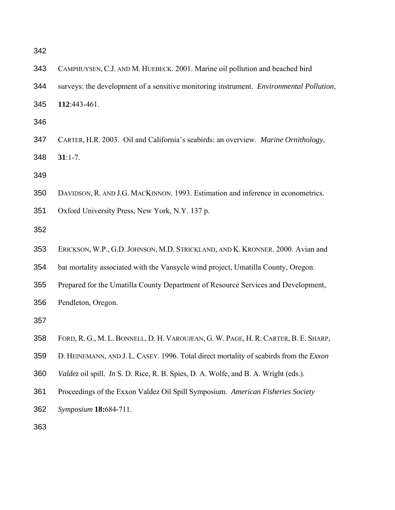| 343 | CAMPHUYSEN, C.J. AND M. HUEBECK. 2001. Marine oil pollution and beached bird            |  |  |  |  |  |
|-----|-----------------------------------------------------------------------------------------|--|--|--|--|--|
| 344 | surveys: the development of a sensitive monitoring instrument. Environmental Pollution, |  |  |  |  |  |
| 345 | 112:443-461.                                                                            |  |  |  |  |  |
| 346 |                                                                                         |  |  |  |  |  |
| 347 | CARTER, H.R. 2003. Oil and California's seabirds: an overview. Marine Ornithology,      |  |  |  |  |  |
| 348 | $31:1-7.$                                                                               |  |  |  |  |  |
| 349 |                                                                                         |  |  |  |  |  |
| 350 | DAVIDSON, R. AND J.G. MACKINNON. 1993. Estimation and inference in econometrics.        |  |  |  |  |  |
| 351 | Oxford University Press, New York, N.Y. 137 p.                                          |  |  |  |  |  |
| 352 |                                                                                         |  |  |  |  |  |
| 353 | ERICKSON, W.P., G.D. JOHNSON, M.D. STRICKLAND, AND K. KRONNER. 2000. Avian and          |  |  |  |  |  |
| 354 | bat mortality associated with the Vansycle wind project, Umatilla County, Oregon.       |  |  |  |  |  |
| 355 | Prepared for the Umatilla County Department of Resource Services and Development,       |  |  |  |  |  |
| 356 | Pendleton, Oregon.                                                                      |  |  |  |  |  |
| 357 |                                                                                         |  |  |  |  |  |
| 358 | FORD, R. G., M. L. BONNELL, D. H. VAROUJEAN, G. W. PAGE, H. R. CARTER, B. E. SHARP,     |  |  |  |  |  |
| 359 | D. HEINEMANN, AND J. L. CASEY. 1996. Total direct mortality of seabirds from the Exxon  |  |  |  |  |  |
| 360 | Valdez oil spill. In S. D. Rice, R. B. Spies, D. A. Wolfe, and B. A. Wright (eds.).     |  |  |  |  |  |
| 361 | Proceedings of the Exxon Valdez Oil Spill Symposium. American Fisheries Society         |  |  |  |  |  |
| 362 | Symposium 18:684-711.                                                                   |  |  |  |  |  |
| 363 |                                                                                         |  |  |  |  |  |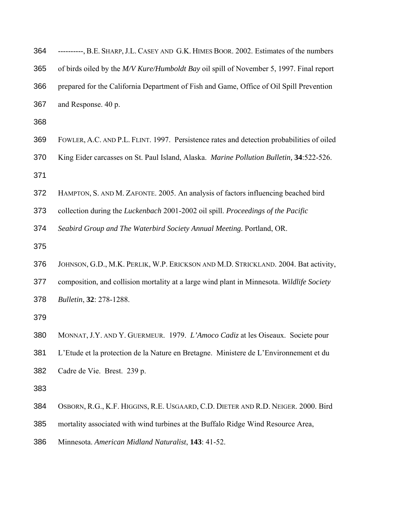| 364 | ----------, B.E. SHARP, J.L. CASEY AND G.K. HIMES BOOR. 2002. Estimates of the numbers                  |
|-----|---------------------------------------------------------------------------------------------------------|
| 365 | of birds oiled by the M/V Kure/Humboldt Bay oil spill of November 5, 1997. Final report                 |
| 366 | prepared for the California Department of Fish and Game, Office of Oil Spill Prevention                 |
| 367 | and Response. 40 p.                                                                                     |
| 368 |                                                                                                         |
| 369 | FOWLER, A.C. AND P.L. FLINT. 1997. Persistence rates and detection probabilities of oiled               |
| 370 | King Eider carcasses on St. Paul Island, Alaska. <i>Marine Pollution Bulletin</i> , <b>34</b> :522-526. |

- 
- HAMPTON, S. AND M. ZAFONTE. 2005. An analysis of factors influencing beached bird
- collection during the *Luckenbach* 2001-2002 oil spill. *Proceedings of the Pacific*

*Seabird Group and The Waterbird Society Annual Meeting.* Portland, OR.

- 
- JOHNSON, G.D., M.K. PERLIK, W.P. ERICKSON AND M.D. STRICKLAND. 2004. Bat activity,
- composition, and collision mortality at a large wind plant in Minnesota. *Wildlife Society*
- *Bulletin*, **32**: 278-1288.
- 
- MONNAT, J.Y. AND Y. GUERMEUR. 1979. *L'Amoco Cadiz* at les Oiseaux. Societe pour
- L'Etude et la protection de la Nature en Bretagne. Ministere de L'Environnement et du
- Cadre de Vie. Brest. 239 p.
- 
- OSBORN, R.G., K.F. HIGGINS, R.E. USGAARD, C.D. DIETER AND R.D. NEIGER. 2000. Bird
- mortality associated with wind turbines at the Buffalo Ridge Wind Resource Area,
- Minnesota. *American Midland Naturalist*, **143**: 41-52.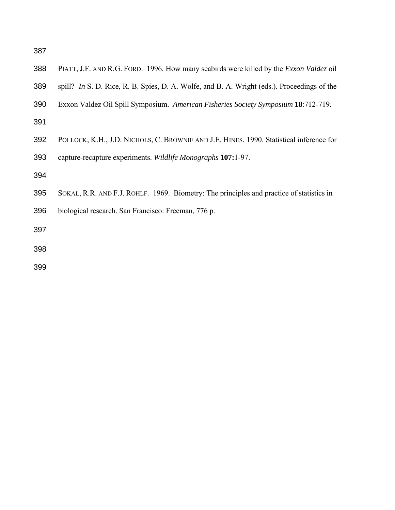- PIATT, J.F. AND R.G. FORD. 1996. How many seabirds were killed by the *Exxon Valdez* oil
- spill? *In* S. D. Rice, R. B. Spies, D. A. Wolfe, and B. A. Wright (eds.). Proceedings of the
- Exxon Valdez Oil Spill Symposium. *American Fisheries Society Symposium* **18**:712-719.
- 
- POLLOCK, K.H., J.D. NICHOLS, C. BROWNIE AND J.E. HINES. 1990. Statistical inference for capture-recapture experiments. *Wildlife Monographs* **107:**1-97.
- 
- SOKAL, R.R. AND F.J. ROHLF. 1969. Biometry: The principles and practice of statistics in
- biological research. San Francisco: Freeman, 776 p.
- 
-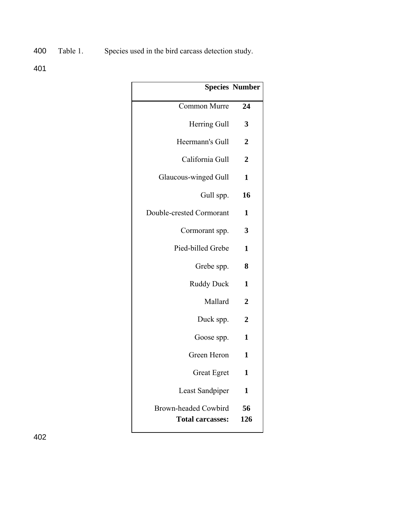400 Table 1. Species used in the bird carcass detection study.

401

| <b>Species Number</b> |                                                 |
|-----------------------|-------------------------------------------------|
| 24                    | <b>Common Murre</b>                             |
| 3                     | Herring Gull                                    |
| 2                     | Heermann's Gull                                 |
| 2                     | California Gull                                 |
| 1                     | Glaucous-winged Gull                            |
| 16                    | Gull spp.                                       |
| 1                     | Double-crested Cormorant                        |
| 3                     | Cormorant spp.                                  |
| 1                     | Pied-billed Grebe                               |
| 8                     | Grebe spp.                                      |
| 1                     | <b>Ruddy Duck</b>                               |
| 2                     | Mallard                                         |
| $\mathbf 2$           | Duck spp.                                       |
| 1                     | Goose spp.                                      |
| 1                     | Green Heron                                     |
| 1                     | <b>Great Egret</b>                              |
| 1                     | Least Sandpiper                                 |
| 56<br>126             | Brown-headed Cowbird<br><b>Total carcasses:</b> |
|                       |                                                 |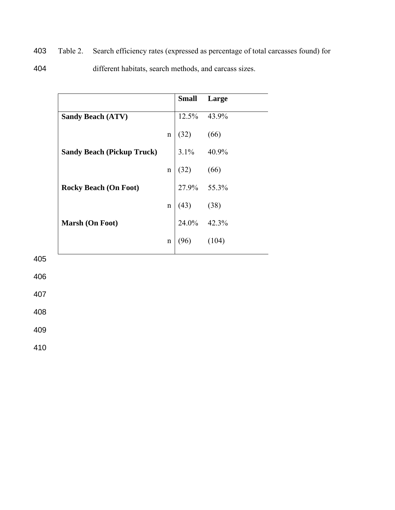403 Table 2. Search efficiency rates (expressed as percentage of total carcasses found) for

404 different habitats, search methods, and carcass sizes.

|                                   |             |                                                                                                                                                                        | <b>Small</b> Large |
|-----------------------------------|-------------|------------------------------------------------------------------------------------------------------------------------------------------------------------------------|--------------------|
| <b>Sandy Beach (ATV)</b>          |             |                                                                                                                                                                        | 12.5% 43.9%        |
|                                   | n           |                                                                                                                                                                        |                    |
| <b>Sandy Beach (Pickup Truck)</b> |             |                                                                                                                                                                        |                    |
|                                   | $\mathbf n$ |                                                                                                                                                                        |                    |
| <b>Rocky Beach (On Foot)</b>      |             |                                                                                                                                                                        |                    |
|                                   | $\mathbf n$ |                                                                                                                                                                        |                    |
| <b>Marsh (On Foot)</b>            |             |                                                                                                                                                                        |                    |
|                                   | n           | $\begin{bmatrix}\n12.5\% & 43.9\% \\ (32) & (66) \\ 3.1\% & 40.9\% \\ (32) & (66) \\ 27.9\% & 55.3\% \\ (43) & (38) \\ 24.0\% & 42.3\% \\ (96) & (104)\n\end{bmatrix}$ |                    |

405

406

407

408

409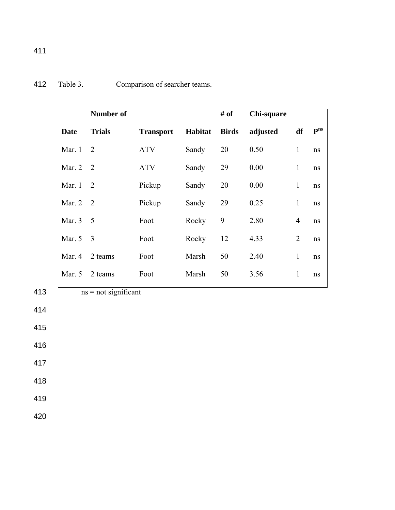|             | <b>Number of</b> |                  |         | # of         | Chi-square |                |                    |
|-------------|------------------|------------------|---------|--------------|------------|----------------|--------------------|
| <b>Date</b> | <b>Trials</b>    | <b>Transport</b> | Habitat | <b>Birds</b> | adjusted   | df             | ${\bf P}^{\rm ns}$ |
| Mar. 1      | 2                | <b>ATV</b>       | Sandy   | 20           | 0.50       | $\mathbf{1}$   | ns                 |
| Mar. $2$    | 2                | <b>ATV</b>       | Sandy   | 29           | 0.00       | $\mathbf{1}$   | ns                 |
| Mar. $1$    | 2                | Pickup           | Sandy   | 20           | 0.00       | $\mathbf{1}$   | ns                 |
| Mar. $2$    | $\overline{2}$   | Pickup           | Sandy   | 29           | 0.25       | $\mathbf{1}$   | ns                 |
| Mar. 3      | 5                | Foot             | Rocky   | 9            | 2.80       | $\overline{4}$ | ns                 |
| Mar. 5      | 3                | Foot             | Rocky   | 12           | 4.33       | $\overline{2}$ | ns                 |
| Mar. 4      | 2 teams          | Foot             | Marsh   | 50           | 2.40       | 1              | ns                 |
| Mar. 5      | 2 teams          | Foot             | Marsh   | 50           | 3.56       | $\mathbf{1}$   | ns                 |

413  $ns = not significant$ 

- 414
- 415
- 416
- 417
- 418
- 419
- 
- 420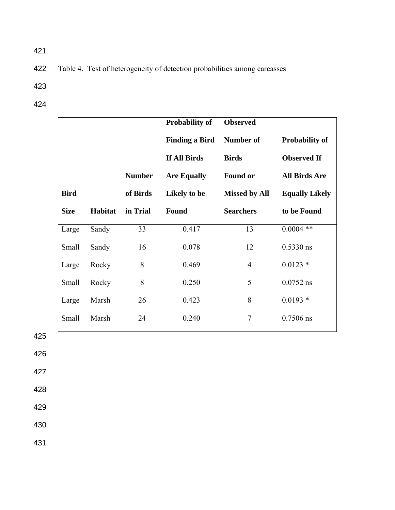422 Table 4. Test of heterogeneity of detection probabilities among carcasses

- 423
- 424

|             |         |               | <b>Probability of</b> | <b>Observed</b>      |                       |
|-------------|---------|---------------|-----------------------|----------------------|-----------------------|
|             |         |               | <b>Finding a Bird</b> | <b>Number of</b>     | <b>Probability of</b> |
|             |         |               | If All Birds          | <b>Birds</b>         | <b>Observed If</b>    |
|             |         | <b>Number</b> | <b>Are Equally</b>    | <b>Found or</b>      | <b>All Birds Are</b>  |
| <b>Bird</b> |         | of Birds      | Likely to be          | <b>Missed by All</b> | <b>Equally Likely</b> |
| <b>Size</b> | Habitat | in Trial      | Found                 | <b>Searchers</b>     | to be Found           |
| Large       | Sandy   | 33            | 0.417                 | 13                   | $0.0004$ **           |
| Small       | Sandy   | 16            | 0.078                 | 12                   | $0.5330$ ns           |
| Large       | Rocky   | 8             | 0.469                 | $\overline{4}$       | $0.0123$ *            |
| Small       | Rocky   | 8             | 0.250                 | 5                    | $0.0752$ ns           |
| Large       | Marsh   | 26            | 0.423                 | 8                    | $0.0193*$             |
| Small       | Marsh   | 24            | 0.240                 | $\overline{7}$       | $0.7506$ ns           |

425

426

427

428

429

430

431